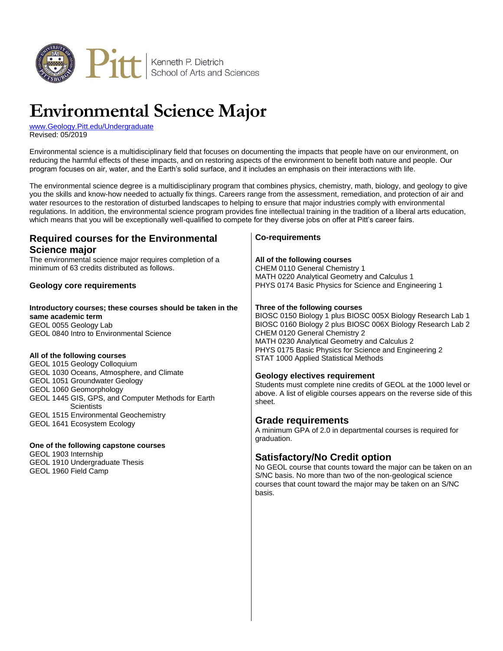

# **Environmental Science Major**

[www.Geology.Pitt.edu/Undergraduate](http://www.geology.pitt.edu/undergraduate) Revised: 05/2019

Environmental science is a multidisciplinary field that focuses on documenting the impacts that people have on our environment, on reducing the harmful effects of these impacts, and on restoring aspects of the environment to benefit both nature and people. Our program focuses on air, water, and the Earth's solid surface, and it includes an emphasis on their interactions with life.

The environmental science degree is a multidisciplinary program that combines physics, chemistry, math, biology, and geology to give you the skills and know-how needed to actually fix things. Careers range from the assessment, remediation, and protection of air and water resources to the restoration of disturbed landscapes to helping to ensure that major industries comply with environmental regulations. In addition, the environmental science program provides fine intellectual training in the tradition of a liberal arts education, which means that you will be exceptionally well-qualified to compete for they diverse jobs on offer at Pitt's career fairs.

| The environmental science major requires completion of a<br>All of the following courses<br>minimum of 63 credits distributed as follows.<br>CHEM 0110 General Chemistry 1<br>MATH 0220 Analytical Geometry and Calculus 1<br>PHYS 0174 Basic Physics for Science and Engineering 1<br><b>Geology core requirements</b><br>Three of the following courses<br>Introductory courses; these courses should be taken in the<br>BIOSC 0150 Biology 1 plus BIOSC 005X Biology Research Lab 1<br>same academic term<br>BIOSC 0160 Biology 2 plus BIOSC 006X Biology Research Lab 2<br>GEOL 0055 Geology Lab<br>CHEM 0120 General Chemistry 2<br>GEOL 0840 Intro to Environmental Science<br>MATH 0230 Analytical Geometry and Calculus 2<br>PHYS 0175 Basic Physics for Science and Engineering 2<br>All of the following courses<br>STAT 1000 Applied Statistical Methods<br>GEOL 1015 Geology Colloquium<br>GEOL 1030 Oceans, Atmosphere, and Climate<br><b>Geology electives requirement</b><br>GEOL 1051 Groundwater Geology<br>Students must complete nine credits of GEOL at the 1000 level or<br>GEOL 1060 Geomorphology<br>above. A list of eligible courses appears on the reverse side of this<br>GEOL 1445 GIS, GPS, and Computer Methods for Earth<br>sheet.<br><b>Scientists</b><br>GEOL 1515 Environmental Geochemistry<br><b>Grade requirements</b><br>GEOL 1641 Ecosystem Ecology<br>A minimum GPA of 2.0 in departmental courses is required for<br>graduation.<br>One of the following capstone courses<br>GEOL 1903 Internship<br><b>Satisfactory/No Credit option</b><br>GEOL 1910 Undergraduate Thesis<br>GEOL 1960 Field Camp<br>S/NC basis. No more than two of the non-geological science<br>courses that count toward the major may be taken on an S/NC<br>basis. | <b>Required courses for the Environmental</b><br>Science major | <b>Co-requirements</b>                                         |
|-------------------------------------------------------------------------------------------------------------------------------------------------------------------------------------------------------------------------------------------------------------------------------------------------------------------------------------------------------------------------------------------------------------------------------------------------------------------------------------------------------------------------------------------------------------------------------------------------------------------------------------------------------------------------------------------------------------------------------------------------------------------------------------------------------------------------------------------------------------------------------------------------------------------------------------------------------------------------------------------------------------------------------------------------------------------------------------------------------------------------------------------------------------------------------------------------------------------------------------------------------------------------------------------------------------------------------------------------------------------------------------------------------------------------------------------------------------------------------------------------------------------------------------------------------------------------------------------------------------------------------------------------------------------------------------------------------------------------------------------------------------------------------------|----------------------------------------------------------------|----------------------------------------------------------------|
|                                                                                                                                                                                                                                                                                                                                                                                                                                                                                                                                                                                                                                                                                                                                                                                                                                                                                                                                                                                                                                                                                                                                                                                                                                                                                                                                                                                                                                                                                                                                                                                                                                                                                                                                                                                     |                                                                |                                                                |
|                                                                                                                                                                                                                                                                                                                                                                                                                                                                                                                                                                                                                                                                                                                                                                                                                                                                                                                                                                                                                                                                                                                                                                                                                                                                                                                                                                                                                                                                                                                                                                                                                                                                                                                                                                                     |                                                                |                                                                |
|                                                                                                                                                                                                                                                                                                                                                                                                                                                                                                                                                                                                                                                                                                                                                                                                                                                                                                                                                                                                                                                                                                                                                                                                                                                                                                                                                                                                                                                                                                                                                                                                                                                                                                                                                                                     |                                                                | No GEOL course that counts toward the major can be taken on an |